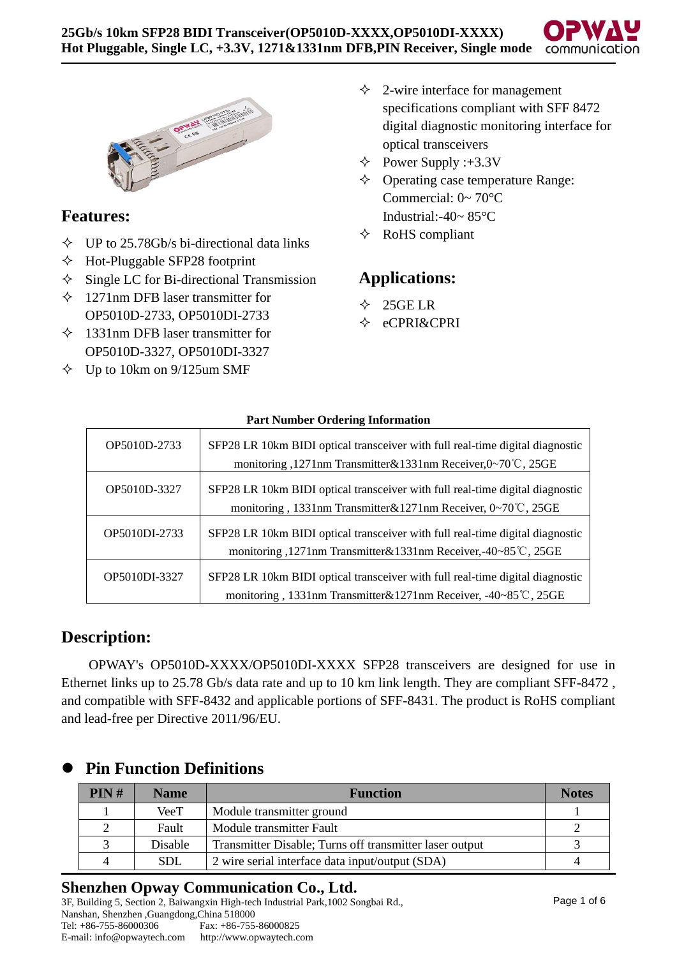

# **Features:**

- $\div$  UP to 25.78Gb/s bi-directional data links
- $\triangle$  Hot-Pluggable SFP28 footprint
- $\Diamond$  Single LC for Bi-directional Transmission
- $\div$  1271nm DFB laser transmitter for OP5010D-2733, OP5010DI-2733
- $\div$  1331nm DFB laser transmitter for OP5010D-3327, OP5010DI-3327
- $\div$  Up to 10km on 9/125um SMF
- $\triangle$  2-wire interface for management specifications compliant with SFF 8472 digital diagnostic monitoring interface for optical transceivers
- $\triangle$  Power Supply :+3.3V
- $\Diamond$  Operating case temperature Range: Commercial: 0~ 70°C Industrial:-40~ 85°C
- $\triangle$  RoHS compliant

# **Applications:**

- $\div$  25GE LR
- eCPRI&CPRI

| OP5010D-2733  | SFP28 LR 10km BIDI optical transceiver with full real-time digital diagnostic<br>monitoring ,1271nm Transmitter&1331nm Receiver,0∼70°C, 25GE   |
|---------------|------------------------------------------------------------------------------------------------------------------------------------------------|
| OP5010D-3327  | SFP28 LR 10km BIDI optical transceiver with full real-time digital diagnostic<br>monitoring, 1331nm Transmitter&1271nm Receiver, 0~70°C, 25GE  |
| OP5010DI-2733 | SFP28 LR 10km BIDI optical transceiver with full real-time digital diagnostic<br>monitoring ,1271nm Transmitter&1331nm Receiver,-40~85℃, 25GE  |
| OP5010DI-3327 | SFP28 LR 10km BIDI optical transceiver with full real-time digital diagnostic<br>monitoring, 1331nm Transmitter&1271nm Receiver, -40~85℃, 25GE |

**Part Number Ordering Information**

# **Description:**

OPWAY's OP5010D-XXXX/OP5010DI-XXXX SFP28 transceivers are designed for use in Ethernet links up to 25.78 Gb/s data rate and up to 10 km link length. They are compliant SFF-8472 , and compatible with SFF-8432 and applicable portions of SFF-8431. The product is RoHS compliant and lead-free per Directive 2011/96/EU.

| PIN# | <b>Name</b> | <b>Function</b>                                         | <b>Notes</b> |
|------|-------------|---------------------------------------------------------|--------------|
|      | VeeT        | Module transmitter ground                               |              |
| ∍    | Fault       | Module transmitter Fault                                |              |
|      | Disable     | Transmitter Disable; Turns off transmitter laser output |              |
|      | <b>SDL</b>  | 2 wire serial interface data input/output (SDA)         |              |

# ⚫ **Pin Function Definitions**

## **Shenzhen Opway Communication Co., Ltd.**

3F, Building 5, Section 2, Baiwangxin High-tech Industrial Park,1002 Songbai Rd., Nanshan, Shenzhen ,Guangdong,China 518000 Fax: +86-755-86000825 E-mail: info@opwaytech.com http://www.opwaytech.com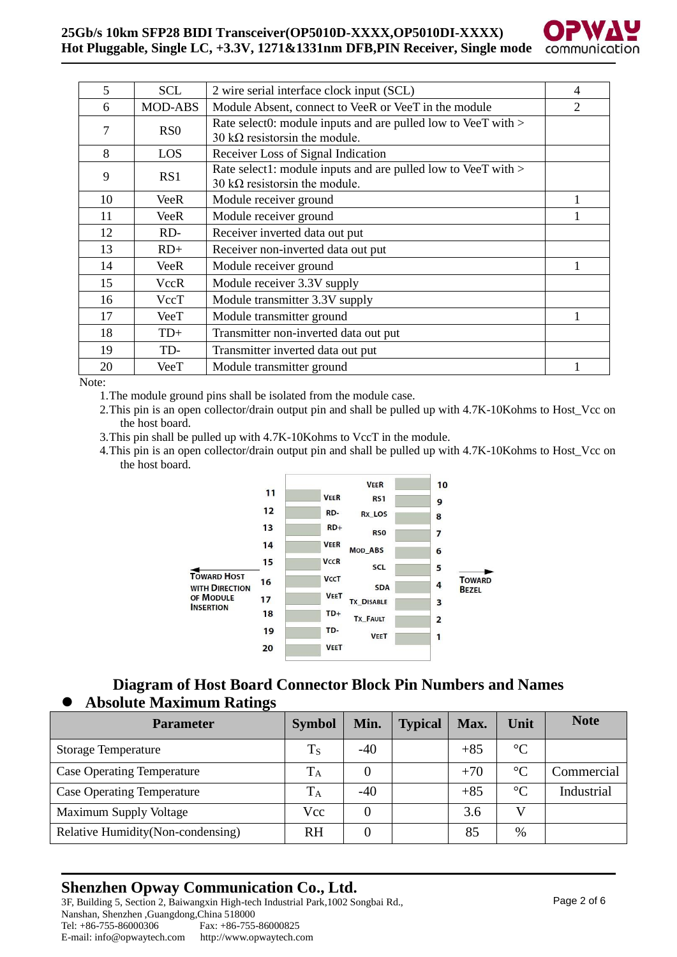#### **25Gb/s 10km SFP28 BIDI Transceiver(OP5010D-XXXX,OP5010DI-XXXX) Hot Pluggable, Single LC, +3.3V, 1271&1331nm DFB,PIN Receiver, Single mode**



| 5  | SCL              | 2 wire serial interface clock input (SCL)                                                               | 4              |
|----|------------------|---------------------------------------------------------------------------------------------------------|----------------|
| 6  | <b>MOD-ABS</b>   | Module Absent, connect to VeeR or VeeT in the module                                                    | $\mathfrak{D}$ |
| 7  | R <sub>S</sub> O | Rate select0: module inputs and are pulled low to VeeT with ><br>30 k $\Omega$ resistors in the module. |                |
| 8  | LOS              | Receiver Loss of Signal Indication                                                                      |                |
| 9  | RS1              | Rate select1: module inputs and are pulled low to VeeT with ><br>30 k $\Omega$ resistors in the module. |                |
| 10 | VeeR             | Module receiver ground                                                                                  |                |
| 11 | <b>VeeR</b>      | Module receiver ground                                                                                  |                |
| 12 | RD-              | Receiver inverted data out put                                                                          |                |
| 13 | $RD+$            | Receiver non-inverted data out put                                                                      |                |
| 14 | VeeR             | Module receiver ground                                                                                  |                |
| 15 | <b>VccR</b>      | Module receiver 3.3V supply                                                                             |                |
| 16 | VccT             | Module transmitter 3.3V supply                                                                          |                |
| 17 | VeeT             | Module transmitter ground                                                                               |                |
| 18 | $TD+$            | Transmitter non-inverted data out put                                                                   |                |
| 19 | TD-              | Transmitter inverted data out put                                                                       |                |
| 20 | VeeT             | Module transmitter ground                                                                               |                |

Note:

1.The module ground pins shall be isolated from the module case.

2. This pin is an open collector/drain output pin and shall be pulled up with 4.7K-10Kohms to Host Vcc on the host board.

3.This pin shall be pulled up with 4.7K-10Kohms to VccT in the module.

4.This pin is an open collector/drain output pin and shall be pulled up with 4.7K-10Kohms to Host\_Vcc on the host board.



## **Diagram of Host Board Connector Block Pin Numbers and Names** ⚫ **Absolute Maximum Ratings**

| <b>Parameter</b>                   | <b>Symbol</b> | Min.  | <b>Typical</b> | Max.  | Unit            | <b>Note</b> |
|------------------------------------|---------------|-------|----------------|-------|-----------------|-------------|
| <b>Storage Temperature</b>         | $T_S$         | $-40$ |                | $+85$ | $\rm ^{\circ}C$ |             |
| <b>Case Operating Temperature</b>  | $\rm T_A$     |       |                | $+70$ | $\rm ^{\circ}C$ | Commercial  |
| <b>Case Operating Temperature</b>  | $T_A$         | $-40$ |                | $+85$ | $\circ$ C       | Industrial  |
| <b>Maximum Supply Voltage</b>      | Vcc           |       |                | 3.6   |                 |             |
| Relative Humidity (Non-condensing) | <b>RH</b>     |       |                | 85    | $\%$            |             |

# **Shenzhen Opway Communication Co., Ltd.**

3F, Building 5, Section 2, Baiwangxin High-tech Industrial Park,1002 Songbai Rd., Nanshan, Shenzhen ,Guangdong,China 518000 Fax: +86-755-86000825 E-mail: info@opwaytech.com http://www.opwaytech.com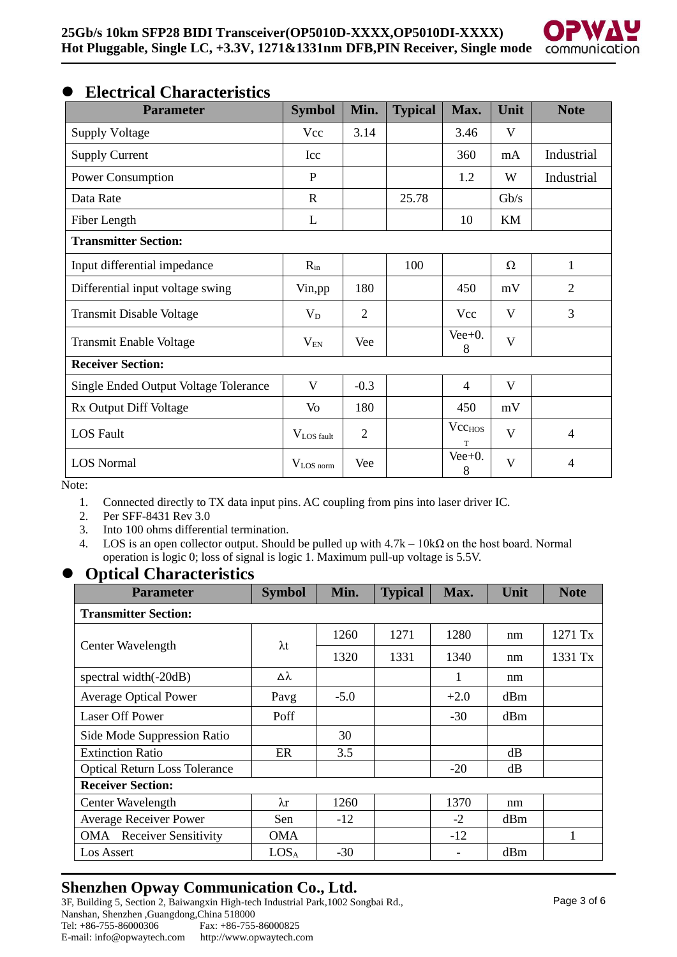

# ⚫ **Electrical Characteristics**

| <b>Parameter</b>                      | <b>Symbol</b>      | Min.           | <b>Typical</b> | Max.                    | Unit         | <b>Note</b>    |
|---------------------------------------|--------------------|----------------|----------------|-------------------------|--------------|----------------|
| <b>Supply Voltage</b>                 | Vcc                | 3.14           |                | 3.46                    | V            |                |
| <b>Supply Current</b>                 | Icc                |                |                | 360                     | mA           | Industrial     |
| Power Consumption                     | $\mathbf{P}$       |                |                | 1.2                     | W            | Industrial     |
| Data Rate                             | $\mathbf R$        |                | 25.78          |                         | Gb/s         |                |
| Fiber Length                          | L                  |                |                | 10                      | KM           |                |
| <b>Transmitter Section:</b>           |                    |                |                |                         |              |                |
| Input differential impedance          | $R_{in}$           |                | 100            |                         | $\Omega$     | 1              |
| Differential input voltage swing      | Vin, pp            | 180            |                | 450                     | mV           | $\overline{2}$ |
| Transmit Disable Voltage              | $V_D$              | $\overline{2}$ |                | Vcc                     | V            | 3              |
| Transmit Enable Voltage               | $\rm V_{EN}$       | Vee            |                | $Vee+0$ .<br>8          | V            |                |
| <b>Receiver Section:</b>              |                    |                |                |                         |              |                |
| Single Ended Output Voltage Tolerance | V                  | $-0.3$         |                | $\overline{4}$          | V            |                |
| Rx Output Diff Voltage                | Vo                 | 180            |                | 450                     | mV           |                |
| <b>LOS</b> Fault                      | $V_{LOS \, fault}$ | $\overline{2}$ |                | Vcc <sub>HOS</sub><br>T | V            | $\overline{4}$ |
| <b>LOS Normal</b>                     | $V_{LOS\,norm}$    | Vee            |                | $Vee+0$ .<br>8          | $\mathbf{V}$ | $\overline{4}$ |

Note:

- 1. Connected directly to TX data input pins. AC coupling from pins into laser driver IC.
- 2. Per SFF-8431 Rev 3.0<br>3. Into 100 ohms differen
- Into 100 ohms differential termination.
- 4. LOS is an open collector output. Should be pulled up with  $4.7k 10k\Omega$  on the host board. Normal operation is logic 0; loss of signal is logic 1. Maximum pull-up voltage is 5.5V.

### ⚫ **Optical Characteristics**

| <b>Parameter</b>                     | <b>Symbol</b>    | Min.   | <b>Typical</b> | Max.   | Unit | <b>Note</b> |  |  |
|--------------------------------------|------------------|--------|----------------|--------|------|-------------|--|--|
| <b>Transmitter Section:</b>          |                  |        |                |        |      |             |  |  |
|                                      |                  | 1260   | 1271           | 1280   | nm   | 1271 Tx     |  |  |
| Center Wavelength                    | $\lambda t$      | 1320   | 1331           | 1340   | nm   | 1331 Tx     |  |  |
| spectral width(-20dB)                | Δλ               |        |                | 1      | nm   |             |  |  |
| <b>Average Optical Power</b>         | Pavg             | $-5.0$ |                | $+2.0$ | dBm  |             |  |  |
| <b>Laser Off Power</b>               | Poff             |        |                | $-30$  | dBm  |             |  |  |
| Side Mode Suppression Ratio          |                  | 30     |                |        |      |             |  |  |
| <b>Extinction Ratio</b>              | ER               | 3.5    |                |        | dB   |             |  |  |
| <b>Optical Return Loss Tolerance</b> |                  |        |                | $-20$  | dB   |             |  |  |
| <b>Receiver Section:</b>             |                  |        |                |        |      |             |  |  |
| Center Wavelength                    | $\lambda$ r      | 1260   |                | 1370   | nm   |             |  |  |
| <b>Average Receiver Power</b>        | Sen              | $-12$  |                | $-2$   | dBm  |             |  |  |
| <b>OMA</b> Receiver Sensitivity      | <b>OMA</b>       |        |                | $-12$  |      | 1           |  |  |
| Los Assert                           | LOS <sub>A</sub> | $-30$  |                |        | dBm  |             |  |  |

## **Shenzhen Opway Communication Co., Ltd.**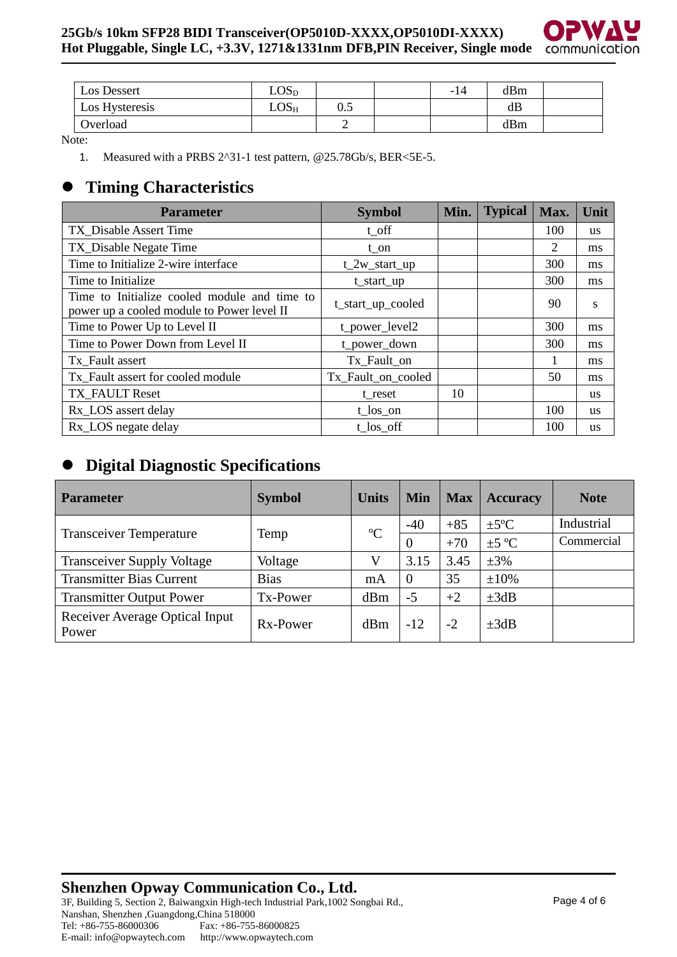

| Los Dessert    | LOS <sub>D</sub> |     | $\overline{\phantom{0}}$ | dBm |  |
|----------------|------------------|-----|--------------------------|-----|--|
| Los Hysteresis | $LOS_{H}$        | 0.5 |                          | dB  |  |
| Overload       |                  | ∽   |                          | dBm |  |

Note:

1. Measured with a PRBS 2^31-1 test pattern, @25.78Gb/s, BER<5E-5.

# ⚫ **Timing Characteristics**

| <b>Parameter</b>                                                                           | <b>Symbol</b>      | Min. | <b>Typical</b> | Max. | Unit      |
|--------------------------------------------------------------------------------------------|--------------------|------|----------------|------|-----------|
| TX_Disable Assert Time                                                                     | $t$ <sub>off</sub> |      |                | 100  | <b>us</b> |
| TX_Disable Negate Time                                                                     | $t_$ on            |      |                | 2    | ms        |
| Time to Initialize 2-wire interface                                                        | $t_2w_start_up$    |      |                | 300  | ms        |
| Time to Initialize.                                                                        | t_start_up         |      |                | 300  | ms        |
| Time to Initialize cooled module and time to<br>power up a cooled module to Power level II | t_start_up_cooled  |      |                | 90   | S         |
| Time to Power Up to Level II                                                               | t_power_level2     |      |                | 300  | ms        |
| Time to Power Down from Level II                                                           | t_power_down       |      |                | 300  | ms        |
| Tx_Fault assert                                                                            | Tx_Fault_on        |      |                |      | ms        |
| Tx Fault assert for cooled module                                                          | Tx_Fault_on_cooled |      |                | 50   | ms        |
| TX FAULT Reset                                                                             | t reset            | 10   |                |      | <b>us</b> |
| Rx_LOS assert delay                                                                        | $t_{los\_on}$      |      |                | 100  | <b>us</b> |
| Rx_LOS negate delay                                                                        | t los off          |      |                | 100  | <b>us</b> |

# ⚫ **Digital Diagnostic Specifications**

| <b>Parameter</b>                        | <b>Symbol</b> | <b>Units</b> | <b>Min</b> | <b>Max</b> | <b>Accuracy</b>  | <b>Note</b> |
|-----------------------------------------|---------------|--------------|------------|------------|------------------|-------------|
|                                         |               | $\rm ^{o}C$  | $-40$      | $+85$      | $\pm 5^{\circ}C$ | Industrial  |
| <b>Transceiver Temperature</b>          | Temp          |              | $\Omega$   | $+70$      | $\pm 5$ °C       | Commercial  |
| <b>Transceiver Supply Voltage</b>       | Voltage       |              | 3.15       | 3.45       | $\pm 3\%$        |             |
| <b>Transmitter Bias Current</b>         | <b>Bias</b>   | mA           | $\Omega$   | 35         | $\pm 10\%$       |             |
| <b>Transmitter Output Power</b>         | Tx-Power      | dBm          | $-5$       | $+2$       | $\pm 3dB$        |             |
| Receiver Average Optical Input<br>Power | Rx-Power      | dBm          | $-12$      | $-2$       | $\pm 3dB$        |             |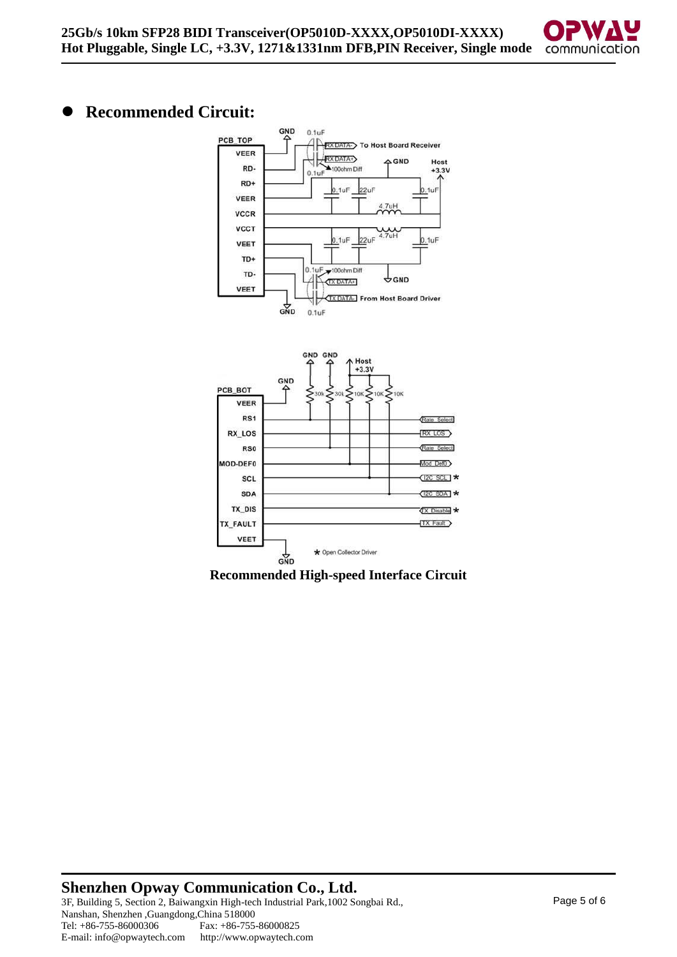

# ⚫ **Recommended Circuit:**